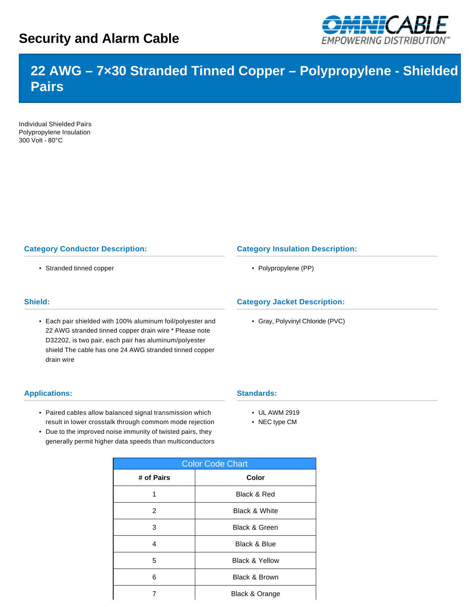# **Security and Alarm Cable**



# **22 AWG – 7×30 Stranded Tinned Copper – Polypropylene - Shielded Pairs**

Individual Shielded Pairs Polypropylene Insulation 300 Volt - 80°C

### **Category Conductor Description:**

• Stranded tinned copper

#### **Shield:**

• Each pair shielded with 100% aluminum foil/polyester and 22 AWG stranded tinned copper drain wire \* Please note D32202, is two pair, each pair has aluminum/polyester shield The cable has one 24 AWG stranded tinned copper drain wire

#### **Applications:**

- Paired cables allow balanced signal transmission which result in lower crosstalk through commom mode rejection
- Due to the improved noise immunity of twisted pairs, they generally permit higher data speeds than multiconductors

| <b>Color Code Chart</b> |                           |  |  |  |  |
|-------------------------|---------------------------|--|--|--|--|
| # of Pairs              | <b>Color</b>              |  |  |  |  |
| 1                       | Black & Red               |  |  |  |  |
| 2                       | <b>Black &amp; White</b>  |  |  |  |  |
| 3                       | <b>Black &amp; Green</b>  |  |  |  |  |
| 4                       | <b>Black &amp; Blue</b>   |  |  |  |  |
| 5                       | <b>Black &amp; Yellow</b> |  |  |  |  |
| 6                       | <b>Black &amp; Brown</b>  |  |  |  |  |
|                         | Black & Orange            |  |  |  |  |

### **Category Insulation Description:**

• Polypropylene (PP)

#### **Category Jacket Description:**

• Gray, Polyvinyl Chloride (PVC)

#### **Standards:**

- UL AWM 2919
- NEC type CM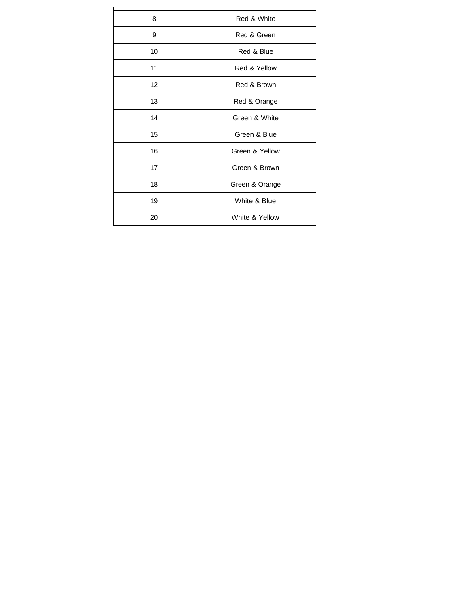| 8  | Red & White    |  |  |  |  |
|----|----------------|--|--|--|--|
| 9  | Red & Green    |  |  |  |  |
| 10 | Red & Blue     |  |  |  |  |
| 11 | Red & Yellow   |  |  |  |  |
| 12 | Red & Brown    |  |  |  |  |
| 13 | Red & Orange   |  |  |  |  |
| 14 | Green & White  |  |  |  |  |
| 15 | Green & Blue   |  |  |  |  |
| 16 | Green & Yellow |  |  |  |  |
| 17 | Green & Brown  |  |  |  |  |
| 18 | Green & Orange |  |  |  |  |
| 19 | White & Blue   |  |  |  |  |
| 20 | White & Yellow |  |  |  |  |